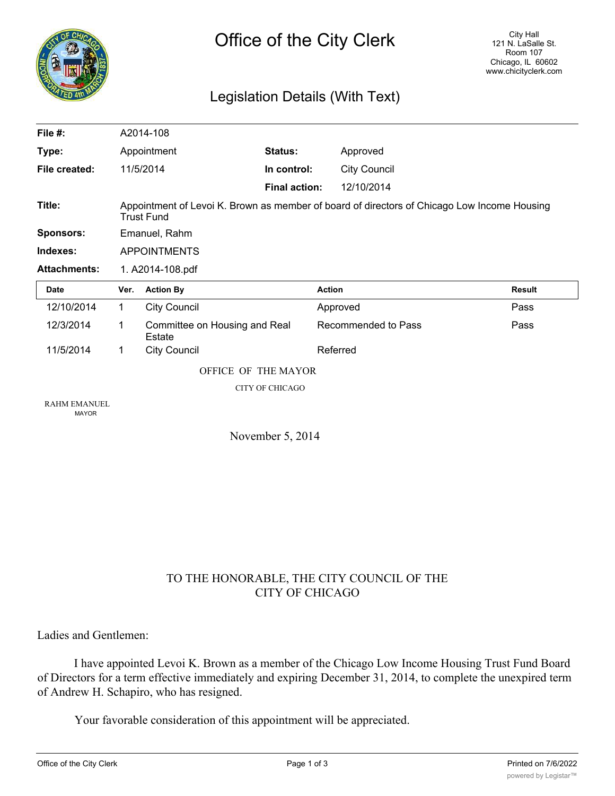

## Legislation Details (With Text)

| File $#$ :                          |                                                                                                                  | A2014-108                               |                      |                     |               |
|-------------------------------------|------------------------------------------------------------------------------------------------------------------|-----------------------------------------|----------------------|---------------------|---------------|
| Type:                               | Appointment                                                                                                      |                                         | Status:              | Approved            |               |
| File created:                       |                                                                                                                  | 11/5/2014                               | In control:          | <b>City Council</b> |               |
|                                     |                                                                                                                  |                                         | <b>Final action:</b> | 12/10/2014          |               |
| Title:                              | Appointment of Levoi K. Brown as member of board of directors of Chicago Low Income Housing<br><b>Trust Fund</b> |                                         |                      |                     |               |
| <b>Sponsors:</b>                    | Emanuel, Rahm                                                                                                    |                                         |                      |                     |               |
| Indexes:                            | <b>APPOINTMENTS</b>                                                                                              |                                         |                      |                     |               |
| <b>Attachments:</b>                 | 1. A2014-108.pdf                                                                                                 |                                         |                      |                     |               |
| <b>Date</b>                         | Ver.                                                                                                             | <b>Action By</b>                        |                      | <b>Action</b>       | <b>Result</b> |
| 12/10/2014                          | 1                                                                                                                | City Council                            |                      | Approved            | Pass          |
| 12/3/2014                           | 1                                                                                                                | Committee on Housing and Real<br>Estate |                      | Recommended to Pass | Pass          |
| 11/5/2014                           | 1                                                                                                                | <b>City Council</b>                     |                      | Referred            |               |
|                                     | OFFICE OF THE MAYOR                                                                                              |                                         |                      |                     |               |
|                                     | <b>CITY OF CHICAGO</b>                                                                                           |                                         |                      |                     |               |
| <b>RAHM EMANUEL</b><br><b>MAYOR</b> |                                                                                                                  |                                         |                      |                     |               |
| November 5, 2014                    |                                                                                                                  |                                         |                      |                     |               |

### TO THE HONORABLE, THE CITY COUNCIL OF THE CITY OF CHICAGO

Ladies and Gentlemen:

I have appointed Levoi K. Brown as a member of the Chicago Low Income Housing Trust Fund Board of Directors for a term effective immediately and expiring December 31, 2014, to complete the unexpired term of Andrew H. Schapiro, who has resigned.

Your favorable consideration of this appointment will be appreciated.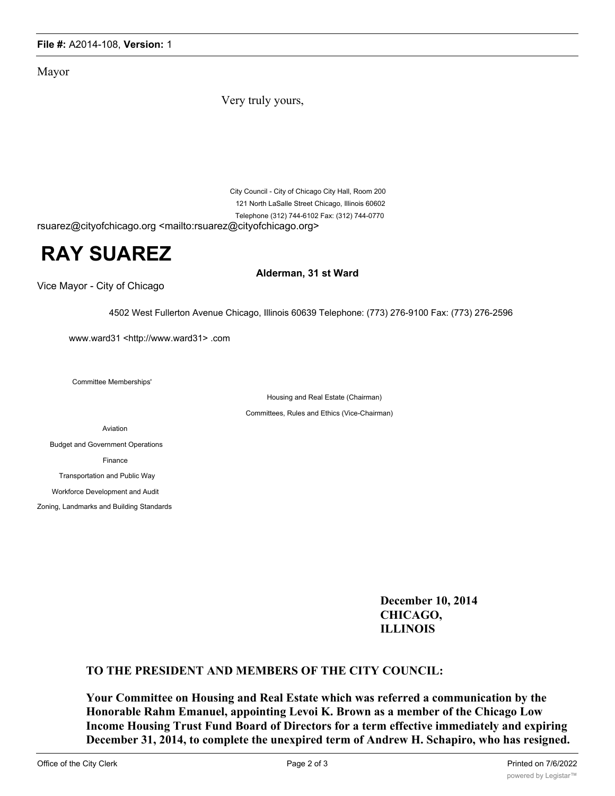#### **File #:** A2014-108, **Version:** 1

Mayor

Very truly yours,

City Council - City of Chicago City Hall, Room 200 121 North LaSalle Street Chicago, Illinois 60602 Telephone (312) 744-6102 Fax: (312) 744-0770

rsuarez@cityofchicago.org <mailto:rsuarez@cityofchicago.org>

# **RAY SUAREZ**

Vice Mayor - City of Chicago

**Alderman, 31 st Ward**

4502 West Fullerton Avenue Chicago, Illinois 60639 Telephone: (773) 276-9100 Fax: (773) 276-2596

www.ward31 <http://www.ward31> .com

Committee Memberships'

Housing and Real Estate (Chairman)

Committees, Rules and Ethics (Vice-Chairman)

Aviation

Budget and Government Operations Finance Transportation and Public Way Workforce Development and Audit

Zoning, Landmarks and Building Standards

**December 10, 2014 CHICAGO, ILLINOIS**

### **TO THE PRESIDENT AND MEMBERS OF THE CITY COUNCIL:**

**Your Committee on Housing and Real Estate which was referred a communication by the Honorable Rahm Emanuel, appointing Levoi K. Brown as a member of the Chicago Low Income Housing Trust Fund Board of Directors for a term effective immediately and expiring December 31, 2014, to complete the unexpired term of Andrew H. Schapiro, who has resigned.**